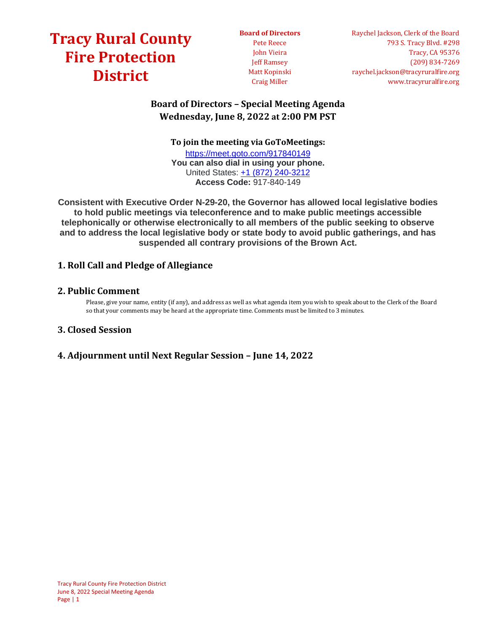## **[Tracy Rural County](https://tracyruralfire.org/)  [Fire Protection](https://tracyruralfire.org/)  [District](https://tracyruralfire.org/)**

**Board of Directors** Pete Reece John Vieira Jeff Ramsey Matt Kopinski Craig Miller

## **Board of Directors – Special Meeting Agenda Wednesday, June 8, 2022 at 2:00 PM PST**

**To join the meeting via GoToMeetings:**

<https://meet.goto.com/917840149> **You can also dial in using your phone.** United States: [+1 \(872\) 240-3212](tel:+18722403212,,917840149) **Access Code:** 917-840-149

**Consistent with Executive Order N-29-20, the Governor has allowed local legislative bodies to hold public meetings via teleconference and to make public meetings accessible telephonically or otherwise electronically to all members of the public seeking to observe and to address the local legislative body or state body to avoid public gatherings, and has suspended all contrary provisions of the Brown Act.**

## **1. Roll Call and Pledge of Allegiance**

## **2. Public Comment**

Please, give your name, entity (if any), and address as well as what agenda item you wish to speak about to the Clerk of the Board so that your comments may be heard at the appropriate time. Comments must be limited to 3 minutes.

## **3. Closed Session**

## **4. Adjournment until Next Regular Session – June 14, 2022**